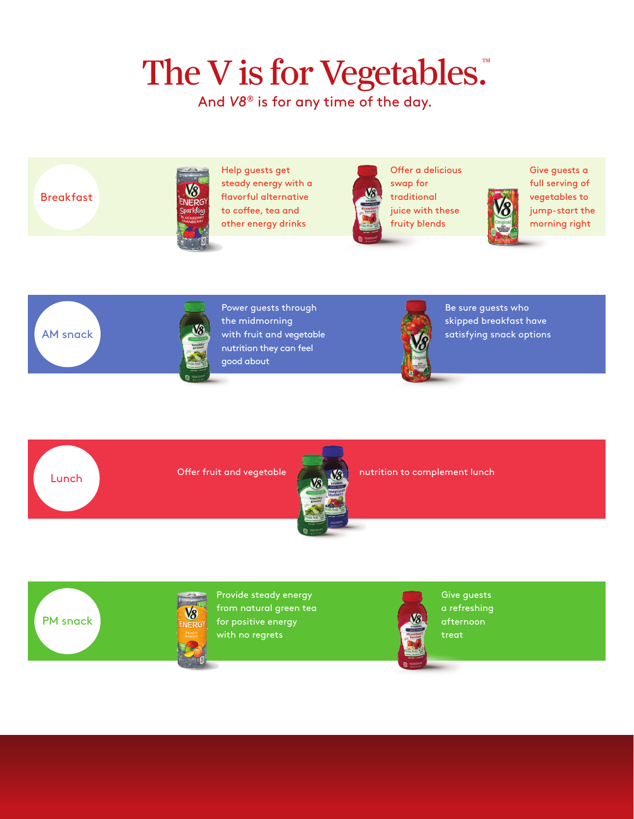## The V is for Vegetables.

And *V8®* is for any time of the day.

**Breakfast** 



Help guests get steady energy with a flavorful alternative to coffee, tea and other energy drinks



Offer a delicious swap for traditional juice with these fruity blends





Lunch



Power guests through the midmorning with fruit and vegetable nutrition they can feel good about



Be sure guests who skipped breakfast have satisfying snack options



Offer fruit and vegetable **number of the set of the nutrition to complement lunch** 





Provide steady energy from natural green tea for positive energy with no regrets



Give guests a refreshing afternoon treat